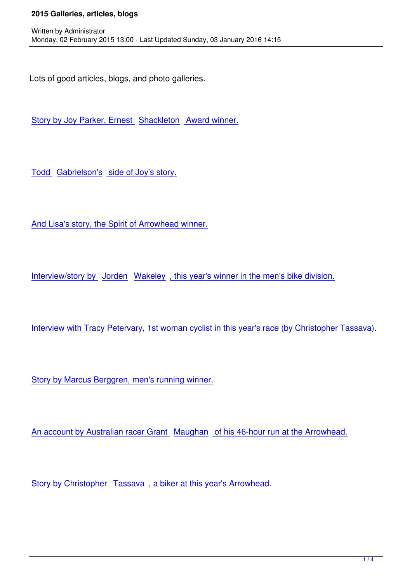Lots of good articles, blogs, and photo galleries.

Written by Administrator and Administrator and Administrator and Administrator and Administrator and Administrator and Administrator and Administrator and Administrator and Administrator and Administrator and Administrator

Story by Joy Parker, Ernest Shackleton Award winner.

Todd Gabrielson's side of Joy's story.

And Lisa's story, the Spirit of Arrowhead winner.

Interview/story by Jorden Wakeley , this year's winner in the men's bike division.

Interview with Tracy Petervary, 1st woman cyclist in this year's race (by Christopher Tassava).

Story by Marcus Berggren, men's running winner.

An account by Australian racer Grant Maughan of his 46-hour run at the Arrowhead.

Story by Christopher Tassava, a biker at this year's Arrowhead.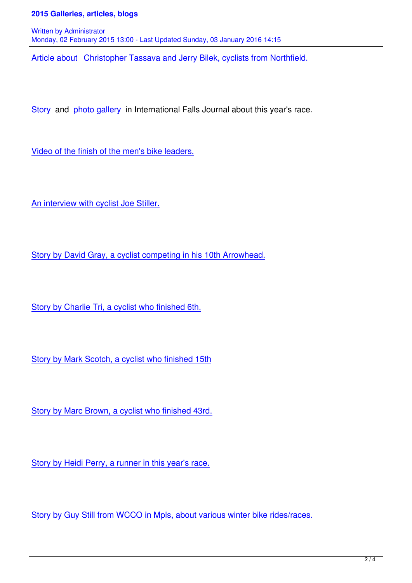Written by Administrator and Administrator and Administrator and Administrator and Administrator and Administrator and Administrator and Administrator and Administrator and Administrator and Administrator and Administrator Monday, 02 February 2015 13:00 - Last Updated Sunday, 03 January 2016 14:15

Article about Christopher Tassava and Jerry Bilek, cyclists from Northfield.

Story and photo gallery in International Falls Journal about this year's race.

[Video](http://www.ifallsjournal.com/news/sports/other_sports/finish-arrowhead/article_f5753740-77e8-5656-8ba4-b2b54cf112c9.html) of th[e finish of the m](http://www.ifallsjournal.com/news/sports/other_sports/arrowhead-ultramarathon---jan/collection_61b81855-003f-5080-93af-6decc20d2333.html)en's bike leaders.

An interview with cyclist Joe Stiller.

Story by David Gray, a cyclist competing in his 10th Arrowhead.

Story by Charlie Tri, a cyclist who finished 6th.

Story by Mark Scotch, a cyclist who finished 15th

Story by Marc Brown, a cyclist who finished 43rd.

Story by Heidi Perry, a runner in this year's race.

Story by Guy Still from WCCO in Mpls, about various winter bike rides/races.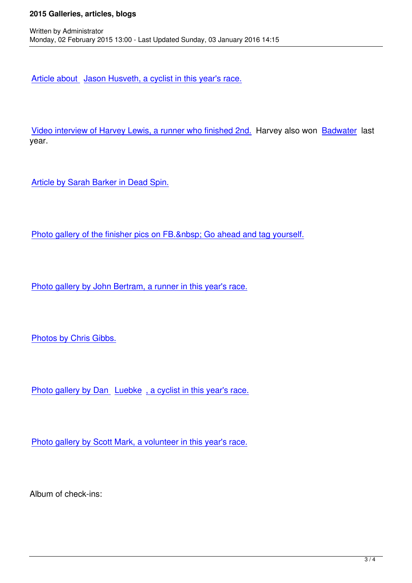Article about Jason Husveth, a cyclist in this year's race.

Video interview of Harvey Lewis, a runner who finished 2nd. Harvey also won Badwater last year.

Article by Sarah Barker in Dead Spin.

Written by Administrator and Administrator and Administrator and Administrator and Administrator and Administrator and Administrator and Administrator and Administrator and Administrator and Administrator and Administrator

Photo gallery of the finisher pics on FB. Go ahead and tag yourself.

Photo gallery by John Bertram, a runner in this year's race.

Photos by Chris Gibbs.

Photo gallery by Dan Luebke, a cyclist in this year's race.

Photo gallery by Scott Mark, a volunteer in this year's race.

Album of check-ins: